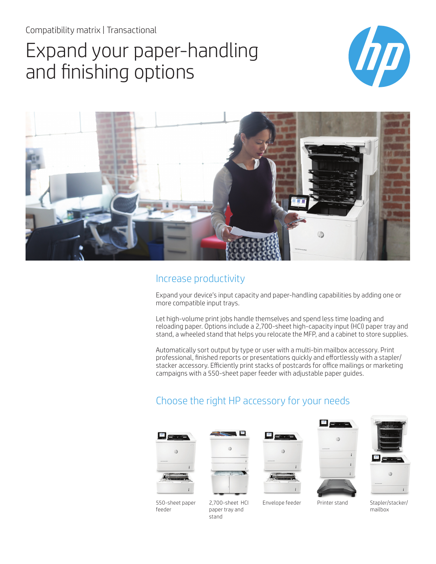Compatibility matrix | Transactional

# Expand your paper-handling and finishing options





#### Increase productivity

Expand your device's input capacity and paper-handling capabilities by adding one or more compatible input trays.

Let high-volume print jobs handle themselves and spend less time loading and reloading paper. Options include a 2,700-sheet high-capacity input (HCI) paper tray and stand, a wheeled stand that helps you relocate the MFP, and a cabinet to store supplies.

Automatically sort output by type or user with a multi-bin mailbox accessory. Print professional, finished reports or presentations quickly and effortlessly with a stapler/ stacker accessory. Efficiently print stacks of postcards for office mailings or marketing campaigns with a 550-sheet paper feeder with adjustable paper guides.

# Choose the right HP accessory for your needs













mailbox

550-sheet paper feeder

2,700-sheet HCI paper tray and stand

Envelope feeder Printer stand Stapler/stacker/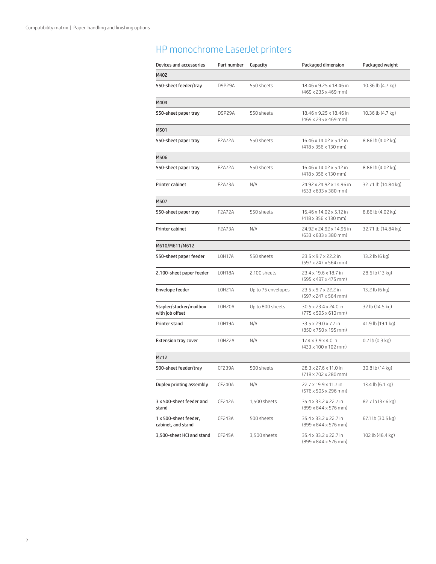### HP monochrome LaserJet printers

| Devices and accessories                     | Part number | Capacity           | Packaged dimension                                                   | Packaged weight     |
|---------------------------------------------|-------------|--------------------|----------------------------------------------------------------------|---------------------|
| M402                                        |             |                    |                                                                      |                     |
| 550-sheet feeder/tray                       | D9P29A      | 550 sheets         | 18.46 x 9.25 x 18.46 in<br>$(469 \times 235 \times 469$ mm)          | 10.36 lb (4.7 kg)   |
| M404                                        |             |                    |                                                                      |                     |
| 550-sheet paper tray                        | D9P29A      | 550 sheets         | 18.46 x 9.25 x 18.46 in<br>$(469 \times 235 \times 469$ mm)          | 10.36 lb (4.7 kg)   |
| M501                                        |             |                    |                                                                      |                     |
| 550-sheet paper tray                        | F2A72A      | 550 sheets         | 16.46 x 14.02 x 5.12 in<br>$(418 \times 356 \times 130 \text{ mm})$  | 8.86 lb (4.02 kg)   |
| M506                                        |             |                    |                                                                      |                     |
| 550-sheet paper tray                        | F2A72A      | 550 sheets         | 16.46 x 14.02 x 5.12 in<br>$(418 \times 356 \times 130 \text{ mm})$  | 8.86 lb (4.02 kg)   |
| Printer cabinet                             | F2A73A      | N/A                | 24.92 x 24.92 x 14.96 in<br>$(633 \times 633 \times 380$ mm)         | 32.71 lb (14.84 kg) |
| M507                                        |             |                    |                                                                      |                     |
| 550-sheet paper tray                        | F2A72A      | 550 sheets         | 16.46 x 14.02 x 5.12 in<br>$(418 \times 356 \times 130$ mm)          | 8.86 lb (4.02 kg)   |
| Printer cabinet                             | F2A73A      | N/A                | 24.92 x 24.92 x 14.96 in<br>$(633 \times 633 \times 380$ mm)         | 32.71 lb (14.84 kg) |
| M610/M611/M612                              |             |                    |                                                                      |                     |
| 550-sheet paper feeder                      | LOH17A      | 550 sheets         | 23.5 x 9.7 x 22.2 in<br>$(597 \times 247 \times 564$ mm)             | 13.2 lb (6 kg)      |
| 2,100-sheet paper feeder                    | LOH18A      | 2,100 sheets       | 23.4 x 19.6 x 18.7 in<br>$(595 \times 497 \times 475 \text{ mm})$    | 28.6 lb (13 kg)     |
| Envelope feeder                             | L0H21A      | Up to 75 envelopes | 23.5 x 9.7 x 22.2 in<br>$(597 \times 247 \times 564 \text{ mm})$     | 13.2 lb (6 kg)      |
| Stapler/stacker/mailbox<br>with job offset  | LOH20A      | Up to 800 sheets   | 30.5 x 23.4 x 24.0 in<br>$(775 \times 595 \times 610 \text{ mm})$    | 32 lb (14.5 kg)     |
| Printer stand                               | L0H19A      | N/A                | $33.5 \times 29.0 \times 7.7$ in<br>$(850 \times 750 \times 195$ mm) | 41.9 lb (19.1 kg)   |
| <b>Extension tray cover</b>                 | LOH22A      | N/A                | $17.4 \times 3.9 \times 4.0$ in<br>$(433 \times 100 \times 102$ mm)  | $0.7$ lb $(0.3$ kg) |
| M712                                        |             |                    |                                                                      |                     |
| 500-sheet feeder/tray                       | CF239A      | 500 sheets         | 28.3 x 27.6 x 11.0 in<br>$(718 \times 702 \times 280$ mm)            | 30.8 lb (14 kg)     |
| Duplex printing assembly                    | CF240A      | N/A                | 22.7 x 19.9 x 11.7 in<br>$(576 \times 505 \times 296 \text{ mm})$    | 13.4 lb (6.1 kg)    |
| 3 x 500-sheet feeder and<br>stand           | CF242A      | 1,500 sheets       | 35.4 x 33.2 x 22.7 in<br>$(899 \times 844 \times 576$ mm)            | 82.7 lb (37.6 kg)   |
| 1 x 500-sheet feeder,<br>cabinet, and stand | CF243A      | 500 sheets         | 35.4 x 33.2 x 22.7 in<br>$(899 \times 844 \times 576$ mm)            | 67.1 lb (30.5 kg)   |
| 3,500-sheet HCI and stand                   | CF245A      | 3,500 sheets       | 35.4 x 33.2 x 22.7 in<br>$(899 \times 844 \times 576 \text{ mm})$    | 102 lb (46.4 kg)    |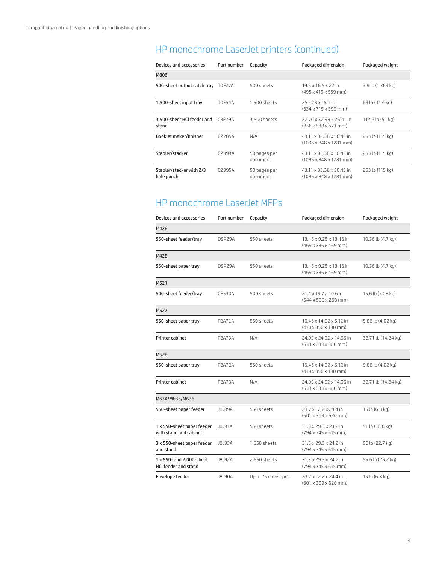# HP monochrome LaserJet printers (continued)

| Devices and accessories                | Part number   | Capacity                 | Packaged dimension                                                          | Packaged weight   |
|----------------------------------------|---------------|--------------------------|-----------------------------------------------------------------------------|-------------------|
| M806                                   |               |                          |                                                                             |                   |
| 500-sheet output catch tray            | T0F27A        | 500 sheets               | $19.5 \times 16.5 \times 22$ in<br>$(495 \times 419 \times 559 \text{ mm})$ | 3.9 lb (1.769 kg) |
| 1,500-sheet input tray                 | <b>T0F54A</b> | 1,500 sheets             | 25 x 28 x 15.7 in<br>$(634 \times 715 \times 399$ mm)                       | 69 lb (31.4 kg)   |
| 3,500-sheet HCI feeder and<br>stand    | C3F79A        | 3,500 sheets             | 22.70 x 32.99 x 26.41 in<br>$(856 \times 838 \times 671$ mm)                | 112.2 lb (51 kg)  |
| <b>Booklet maker/finisher</b>          | C7285A        | N/A                      | 43.11 x 33.38 x 50.43 in<br>$(1095 \times 848 \times 1281 \text{ mm})$      | 253 lb (115 kg)   |
| Stapler/stacker                        | CZ994A        | 50 pages per<br>document | 43.11 x 33.38 x 50.43 in<br>$(1095 \times 848 \times 1281 \text{ mm})$      | 253 lb (115 kg)   |
| Stapler/stacker with 2/3<br>hole punch | C7995A        | 50 pages per<br>document | 43.11 x 33.38 x 50.43 in<br>$(1095 \times 848 \times 1281 \text{ mm})$      | 253 lb (115 kg)   |

#### HP monochrome LaserJet MFPs

| Devices and accessories                                 | Part number   | Capacity           | Packaged dimension                                                  | Packaged weight     |
|---------------------------------------------------------|---------------|--------------------|---------------------------------------------------------------------|---------------------|
| M426                                                    |               |                    |                                                                     |                     |
| 550-sheet feeder/tray                                   | D9P29A        | 550 sheets         | 18.46 x 9.25 x 18.46 in<br>$(469 \times 235 \times 469 \text{ mm})$ | 10.36 lb (4.7 kg)   |
| M428                                                    |               |                    |                                                                     |                     |
| 550-sheet paper tray                                    | D9P29A        | 550 sheets         | 18.46 x 9.25 x 18.46 in<br>$(469 \times 235 \times 469$ mm)         | 10.36 lb (4.7 kg)   |
| M521                                                    |               |                    |                                                                     |                     |
| 500-sheet feeder/tray                                   | <b>CE530A</b> | 500 sheets         | 21.4 x 19.7 x 10.6 in<br>$(544 \times 500 \times 268$ mm)           | 15.6 lb (7.08 kg)   |
| M527                                                    |               |                    |                                                                     |                     |
| 550-sheet paper tray                                    | <b>F2A72A</b> | 550 sheets         | 16.46 x 14.02 x 5.12 in<br>$(418 \times 356 \times 130$ mm)         | 8.86 lb (4.02 kg)   |
| Printer cabinet                                         | F2A73A        | N/A                | 24.92 x 24.92 x 14.96 in<br>$(633 \times 633 \times 380$ mm)        | 32.71 lb (14.84 kg) |
| M528                                                    |               |                    |                                                                     |                     |
| 550-sheet paper tray                                    | <b>F2A72A</b> | 550 sheets         | 16.46 x 14.02 x 5.12 in<br>$(418 \times 356 \times 130$ mm)         | 8.86 lb (4.02 kg)   |
| Printer cabinet                                         | F2A73A        | N/A                | 24.92 x 24.92 x 14.96 in<br>$(633 \times 633 \times 380$ mm)        | 32.71 lb (14.84 kg) |
| M634/M635/M636                                          |               |                    |                                                                     |                     |
| 550-sheet paper feeder                                  | J8J89A        | 550 sheets         | 23.7 x 12.2 x 24.4 in<br>$(601 \times 309 \times 620$ mm)           | 15 lb (6.8 kg)      |
| 1 x 550-sheet paper feeder<br>with stand and cabinet    | J8J91A        | 550 sheets         | 31.3 x 29.3 x 24.2 in<br>$(794 \times 745 \times 615$ mm)           | 41 lb (18.6 kg)     |
| 3 x 550-sheet paper feeder<br>and stand                 | J8J93A        | 1,650 sheets       | 31.3 x 29.3 x 24.2 in<br>$(794 \times 745 \times 615$ mm)           | 50 lb (22.7 kg)     |
| 1 x 550- and 2,000-sheet<br><b>HCI feeder and stand</b> | J8J92A        | 2,550 sheets       | 31.3 x 29.3 x 24.2 in<br>$(794 \times 745 \times 615$ mm)           | 55.6 lb (25.2 kg)   |
| Envelope feeder                                         | J8J90A        | Up to 75 envelopes | 23.7 x 12.2 x 24.4 in<br>$(601 \times 309 \times 620$ mm)           | 15 lb (6.8 kg)      |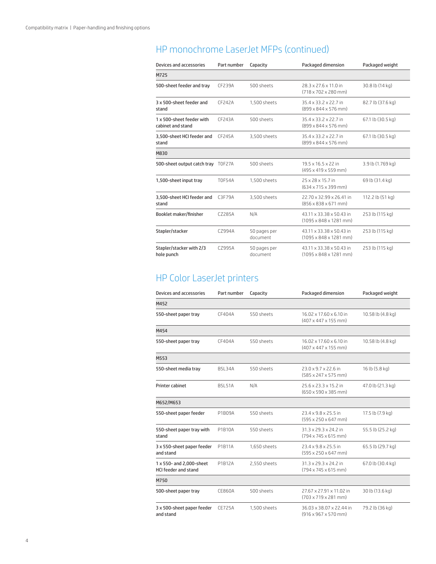## HP monochrome LaserJet MFPs (continued)

| Devices and accessories                        | Part number   | Capacity                 | Packaged dimension                                                     | Packaged weight   |
|------------------------------------------------|---------------|--------------------------|------------------------------------------------------------------------|-------------------|
| M725                                           |               |                          |                                                                        |                   |
| 500-sheet feeder and tray                      | CF239A        | 500 sheets               | 28.3 x 27.6 x 11.0 in<br>$(718 \times 702 \times 280$ mm)              | 30.8 lb (14 kg)   |
| 3 x 500-sheet feeder and<br>stand              | <b>CF242A</b> | 1,500 sheets             | 35.4 x 33.2 x 22.7 in<br>$(899 \times 844 \times 576$ mm)              | 82.7 lb (37.6 kg) |
| 1 x 500-sheet feeder with<br>cabinet and stand | CF243A        | 500 sheets               | $35.4 \times 33.2 \times 22.7$ in<br>$(899 \times 844 \times 576$ mm)  | 67.1 lb (30.5 kg) |
| 3.500-sheet HCI feeder and<br>stand            | CF245A        | 3,500 sheets             | 35.4 x 33.2 x 22.7 in<br>$(899 \times 844 \times 576$ mm)              | 67.1 lb (30.5 kg) |
| M830                                           |               |                          |                                                                        |                   |
| 500-sheet output catch tray                    | T0F27A        | 500 sheets               | 19.5 x 16.5 x 22 in<br>$(495 \times 419 \times 559$ mm)                | 3.9 lb (1.769 kg) |
| 1,500-sheet input tray                         | <b>T0F54A</b> | 1,500 sheets             | 25 x 28 x 15.7 in<br>(634 x 715 x 399 mm)                              | 69 lb (31.4 kg)   |
| 3,500-sheet HCI feeder and<br>stand            | C3F79A        | 3,500 sheets             | 22.70 x 32.99 x 26.41 in<br>$(856 \times 838 \times 671 \text{ mm})$   | 112.2 lb (51 kg)  |
| Booklet maker/finisher                         | C7285A        | N/A                      | 43.11 x 33.38 x 50.43 in<br>$(1095 \times 848 \times 1281$ mm)         | 253 lb (115 kg)   |
| Stapler/stacker                                | C7994A        | 50 pages per<br>document | 43.11 x 33.38 x 50.43 in<br>$(1095 \times 848 \times 1281 \text{ mm})$ | 253 lb (115 kg)   |
| Stapler/stacker with 2/3<br>hole punch         | CZ995A        | 50 pages per<br>document | 43.11 x 33.38 x 50.43 in<br>$(1095 \times 848 \times 1281$ mm)         | 253 lb (115 kg)   |

### HP Color LaserJet printers

| Devices and accessories                                 | Part number   | Capacity     | Packaged dimension                                           | Packaged weight   |
|---------------------------------------------------------|---------------|--------------|--------------------------------------------------------------|-------------------|
| M452                                                    |               |              |                                                              |                   |
| 550-sheet paper tray                                    | CF404A        | 550 sheets   | 16.02 x 17.60 x 6.10 in<br>$(407 \times 447 \times 155$ mm)  | 10.58 lb (4.8 kg) |
| M454                                                    |               |              |                                                              |                   |
| 550-sheet paper tray                                    | CF404A        | 550 sheets   | 16.02 x 17.60 x 6.10 in<br>$(407 \times 447 \times 155$ mm)  | 10.58 lb (4.8 kg) |
| M553                                                    |               |              |                                                              |                   |
| 550-sheet media tray                                    | B5I 34A       | 550 sheets   | 23.0 x 9.7 x 22.6 in<br>$(585 \times 247 \times 575$ mm)     | 16 lb (5.8 kg)    |
| Printer cabinet                                         | <b>B5L51A</b> | N/A          | 25.6 x 23.3 x 15.2 in<br>$(650 \times 590 \times 385$ mm)    | 47.0 lb (21.3 kg) |
| M652/M653                                               |               |              |                                                              |                   |
| 550-sheet paper feeder                                  | P1B09A        | 550 sheets   | 23.4 x 9.8 x 25.5 in<br>$(595 \times 250 \times 647$ mm)     | 17.5 lb (7.9 kg)  |
| 550-sheet paper tray with<br>stand                      | P1B10A        | 550 sheets   | 31.3 x 29.3 x 24.2 in<br>$(794 \times 745 \times 615$ mm)    | 55.5 lb (25.2 kg) |
| 3 x 550-sheet paper feeder<br>and stand                 | P1B11A        | 1,650 sheets | 23.4 x 9.8 x 25.5 in<br>$(595 \times 250 \times 647$ mm)     | 65.5 lb (29.7 kg) |
| 1 x 550- and 2,000-sheet<br><b>HCI feeder and stand</b> | P1B12A        | 2,550 sheets | 31.3 x 29.3 x 24.2 in<br>$(794 \times 745 \times 615$ mm)    | 67.0 lb (30.4 kg) |
| M750                                                    |               |              |                                                              |                   |
| 500-sheet paper tray                                    | CE860A        | 500 sheets   | 27.67 x 27.91 x 11.02 in<br>$(703 \times 719 \times 281$ mm) | 30 lb (13.6 kg)   |
| 3 x 500-sheet paper feeder<br>and stand                 | <b>CE725A</b> | 1.500 sheets | 36.03 x 38.07 x 22.44 in<br>$(916 \times 967 \times 570$ mm) | 79.2 lb (36 kg)   |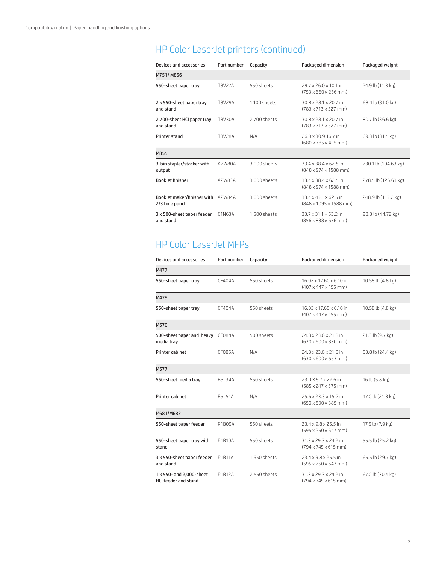# HP Color LaserJet printers (continued)

| Devices and accessories                              | Part number | Capacity     | Packaged dimension                                                  | Packaged weight      |
|------------------------------------------------------|-------------|--------------|---------------------------------------------------------------------|----------------------|
| M751/M856                                            |             |              |                                                                     |                      |
| 550-sheet paper tray                                 | T3V27A      | 550 sheets   | 29.7 x 26.0 x 10.1 in<br>$(753 \times 660 \times 256$ mm)           | 24.9 lb (11.3 kg)    |
| 2 x 550-sheet paper tray<br>and stand                | T3V29A      | 1.100 sheets | 30.8 x 28.1 x 20.7 in<br>$(783 \times 713 \times 527$ mm)           | 68.4 lb (31.0 kg)    |
| 2,700-sheet HCI paper tray<br>and stand              | T3V30A      | 2,700 sheets | 30.8 x 28.1 x 20.7 in<br>$(783 \times 713 \times 527 \text{ mm})$   | 80.7 lb (36.6 kg)    |
| Printer stand                                        | T3V28A      | N/A          | 26.8 x 30.9 16.7 in<br>$(680 \times 785 \times 425$ mm)             | 69.3 lb (31.5 kg)    |
| M855                                                 |             |              |                                                                     |                      |
| 3-bin stapler/stacker with<br>output                 | A2W80A      | 3,000 sheets | 33.4 x 38.4 x 62.5 in<br>$(848 \times 974 \times 1588 \text{ mm})$  | 230.1 lb (104.63 kg) |
| <b>Booklet finisher</b>                              | A2W83A      | 3,000 sheets | 33.4 x 38.4 x 62.5 in<br>$(848 \times 974 \times 1588 \text{ mm})$  | 278.5 lb (126.63 kg) |
| Booklet maker/finisher with A2W84A<br>2/3 hole punch |             | 3.000 sheets | 33.4 x 43.1 x 62.5 in<br>$(848 \times 1095 \times 1588 \text{ mm})$ | 248.9 lb (113.2 kg)  |
| 3 x 500-sheet paper feeder<br>and stand              | C1N63A      | 1.500 sheets | 33.7 x 31.1 x 53.2 in<br>$(856 \times 838 \times 676$ mm)           | 98.3 lb (44.72 kg)   |

#### HP Color LaserJet MFPs

| Devices and accessories                                 | Part number    | Capacity     | Packaged dimension                                          | Packaged weight   |
|---------------------------------------------------------|----------------|--------------|-------------------------------------------------------------|-------------------|
| M477                                                    |                |              |                                                             |                   |
| 550-sheet paper tray                                    | CF404A         | 550 sheets   | 16.02 x 17.60 x 6.10 in<br>$(407 \times 447 \times 155$ mm) | 10.58 lb (4.8 kg) |
| M479                                                    |                |              |                                                             |                   |
| 550-sheet paper tray                                    | CF404A         | 550 sheets   | 16.02 x 17.60 x 6.10 in<br>$(407 \times 447 \times 155$ mm) | 10.58 lb (4.8 kg) |
| M570                                                    |                |              |                                                             |                   |
| 500-sheet paper and heavy<br>media tray                 | <b>CF084A</b>  | 500 sheets   | 24.8 x 23.6 x 21.8 in<br>$(630 \times 600 \times 330$ mm)   | 21.3 lb (9.7 kg)  |
| Printer cabinet                                         | <b>CF085A</b>  | N/A          | 24.8 x 23.6 x 21.8 in<br>$(630 \times 600 \times 553$ mm)   | 53.8 lb (24.4 kg) |
| M577                                                    |                |              |                                                             |                   |
| 550-sheet media tray                                    | <b>B5I 34A</b> | 550 sheets   | 23.0 X 9.7 x 22.6 in<br>$(585 \times 247 \times 575$ mm)    | 16 lb (5.8 kg)    |
| Printer cabinet                                         | <b>B5L51A</b>  | N/A          | 25.6 x 23.3 x 15.2 in<br>$(650 \times 590 \times 385$ mm)   | 47.0 lb (21.3 kg) |
| M681/M682                                               |                |              |                                                             |                   |
| 550-sheet paper feeder                                  | P1B09A         | 550 sheets   | 23.4 x 9.8 x 25.5 in<br>$(595 \times 250 \times 647$ mm)    | 17.5 lb (7.9 kg)  |
| 550-sheet paper tray with<br>stand                      | P1B10A         | 550 sheets   | 31.3 x 29.3 x 24.2 in<br>$(794 \times 745 \times 615$ mm)   | 55.5 lb (25.2 kg) |
| 3 x 550-sheet paper feeder<br>and stand                 | P1B11A         | 1,650 sheets | 23.4 x 9.8 x 25.5 in<br>$(595 \times 250 \times 647$ mm)    | 65.5 lb (29.7 kg) |
| 1 x 550- and 2,000-sheet<br><b>HCI feeder and stand</b> | P1B12A         | 2,550 sheets | 31.3 x 29.3 x 24.2 in<br>$(794 \times 745 \times 615$ mm)   | 67.0 lb (30.4 kg) |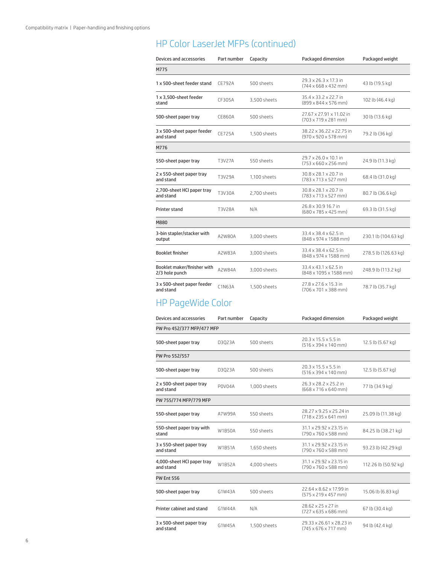#### HP Color LaserJet MFPs (continued)

| Devices and accessories                       | Part number   | Capacity     | Packaged dimension                                                   | Packaged weight      |
|-----------------------------------------------|---------------|--------------|----------------------------------------------------------------------|----------------------|
| M775                                          |               |              |                                                                      |                      |
| 1 x 500-sheet feeder stand                    | <b>CF792A</b> | 500 sheets   | 29.3 x 26.3 x 17.3 in<br>$(744 \times 668 \times 432 \text{ mm})$    | 43 lb (19.5 kg)      |
| 1 x 3,500-sheet feeder<br>stand               | CF305A        | 3,500 sheets | 35.4 x 33.2 x 22.7 in<br>$(899 \times 844 \times 576$ mm)            | 102 lb (46.4 kg)     |
| 500-sheet paper tray                          | <b>CE860A</b> | 500 sheets   | 27.67 x 27.91 x 11.02 in<br>$(703 \times 719 \times 281 \text{ mm})$ | 30 lb (13.6 kg)      |
| 3 x 500-sheet paper feeder<br>and stand       | <b>CE725A</b> | 1,500 sheets | 38.22 x 36.22 x 22.75 in<br>$(970 \times 920 \times 578 \text{ mm})$ | 79.2 lb (36 kg)      |
| M776                                          |               |              |                                                                      |                      |
| 550-sheet paper tray                          | T3V27A        | 550 sheets   | 29.7 x 26.0 x 10.1 in<br>$(753 \times 660 \times 256$ mm)            | 24.9 lb (11.3 kg)    |
| 2 x 550-sheet paper tray<br>and stand         | T3V29A        | 1,100 sheets | 30.8 x 28.1 x 20.7 in<br>$(783 \times 713 \times 527$ mm)            | 68.4 lb (31.0 kg)    |
| 2,700-sheet HCI paper tray<br>and stand       | T3V30A        | 2,700 sheets | 30.8 x 28.1 x 20.7 in<br>$(783 \times 713 \times 527$ mm)            | 80.7 lb (36.6 kg)    |
| Printer stand                                 | T3V28A        | N/A          | 26.8 x 30.9 16.7 in<br>$(680 \times 785 \times 425$ mm)              | 69.3 lb (31.5 kg)    |
| M880                                          |               |              |                                                                      |                      |
| 3-bin stapler/stacker with<br>output          | A2W80A        | 3,000 sheets | 33.4 x 38.4 x 62.5 in<br>$(848 \times 974 \times 1588 \text{ mm})$   | 230.1 lb (104.63 kg) |
| <b>Booklet finisher</b>                       | A2W83A        | 3,000 sheets | 33.4 x 38.4 x 62.5 in<br>$(848 \times 974 \times 1588 \text{ mm})$   | 278.5 lb (126.63 kg) |
| Booklet maker/finisher with<br>2/3 hole punch | A2W84A        | 3,000 sheets | 33.4 x 43.1 x 62.5 in<br>(848 x 1095 x 1588 mm)                      | 248.9 lb (113.2 kg)  |
| 3 x 500-sheet paper feeder<br>and stand       | C1N63A        | 1.500 sheets | 27.8 x 27.6 x 15.3 in<br>$(706 \times 701 \times 388 \text{ mm})$    | 78.7 lb (35.7 kg)    |

#### HP PageWide Color

| Devices and accessories                 | Part number   | Capacity     | Packaged dimension                                                   | Packaged weight      |
|-----------------------------------------|---------------|--------------|----------------------------------------------------------------------|----------------------|
| PW Pro 452/377 MFP/477 MFP              |               |              |                                                                      |                      |
| 500-sheet paper tray                    | D3Q23A        | 500 sheets   | $20.3 \times 15.5 \times 5.5$ in<br>$(516 \times 394 \times 140$ mm) | 12.5 lb (5.67 kg)    |
| PW Pro 552/557                          |               |              |                                                                      |                      |
| 500-sheet paper tray                    | D3Q23A        | 500 sheets   | $20.3 \times 15.5 \times 5.5$ in<br>$(516 \times 394 \times 140$ mm) | 12.5 lb (5.67 kg)    |
| 2 x 500-sheet paper tray<br>and stand   | P0V04A        | 1,000 sheets | 26.3 x 28.2 x 25.2 in<br>$(668 \times 716 \times 640$ mm)            | 77 lb (34.9 kg)      |
| PW 755/774 MFP/779 MFP                  |               |              |                                                                      |                      |
| 550-sheet paper tray                    | A7W99A        | 550 sheets   | 28.27 x 9.25 x 25.24 in<br>$(718 \times 235 \times 641 \text{ mm})$  | 25.09 lb (11.38 kg)  |
| 550-sheet paper tray with<br>stand      | <b>W1B50A</b> | 550 sheets   | 31.1 x 29.92 x 23.15 in<br>$(790 \times 760 \times 588 \text{ mm})$  | 84.25 lb (38.21 kg)  |
| 3 x 550-sheet paper tray<br>and stand   | <b>W1B51A</b> | 1,650 sheets | 31.1 x 29.92 x 23.15 in<br>$(790 \times 760 \times 588$ mm)          | 93.23 lb (42.29 kg)  |
| 4,000-sheet HCI paper tray<br>and stand | <b>W1B52A</b> | 4,000 sheets | 31.1 x 29.92 x 23.15 in<br>$(790 \times 760 \times 588 \text{ mm})$  | 112.26 lb (50.92 kg) |
| <b>PW Ent 556</b>                       |               |              |                                                                      |                      |
| 500-sheet paper tray                    | G1W43A        | 500 sheets   | 22.64 x 8.62 x 17.99 in<br>$(575 \times 219 \times 457$ mm)          | 15.06 lb (6.83 kg)   |
| Printer cabinet and stand               | G1W44A        | N/A          | 28.62 x 25 x 27 in<br>$(727 \times 635 \times 686$ mm)               | 67 lb (30.4 kg)      |
| 3 x 500-sheet paper tray<br>and stand   | G1W45A        | 1,500 sheets | 29.33 x 26.61 x 28.23 in<br>$(745 \times 676 \times 717 \text{ mm})$ | 94 lb (42.4 kg)      |